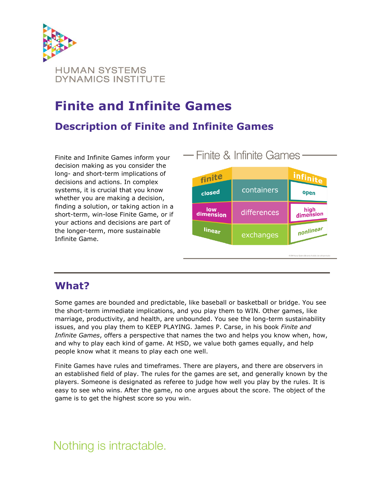

# **Finite and Infinite Games**

### **Description of Finite and Infinite Games**

Finite and Infinite Games inform your decision making as you consider the long- and short-term implications of decisions and actions. In complex systems, it is crucial that you know whether you are making a decision, finding a solution, or taking action in a short-term, win-lose Finite Game, or if your actions and decisions are part of the longer-term, more sustainable Infinite Game.



### **What?**

Some games are bounded and predictable, like baseball or basketball or bridge. You see the short-term immediate implications, and you play them to WIN. Other games, like marriage, productivity, and health, are unbounded. You see the long-term sustainability issues, and you play them to KEEP PLAYING. James P. Carse, in his book *Finite and Infinite Games*, offers a perspective that names the two and helps you know when, how, and why to play each kind of game. At HSD, we value both games equally, and help people know what it means to play each one well.

Finite Games have rules and timeframes. There are players, and there are observers in an established field of play. The rules for the games are set, and generally known by the players. Someone is designated as referee to judge how well you play by the rules. It is easy to see who wins. After the game, no one argues about the score. The object of the game is to get the highest score so you win.

# Nothing is intractable.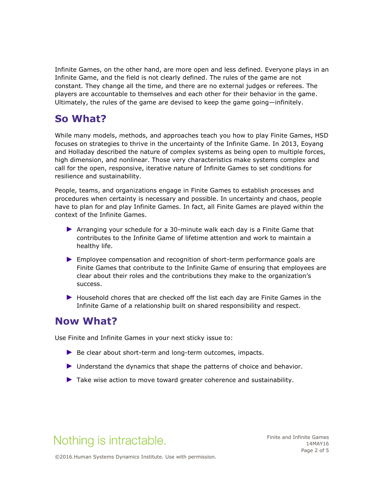Infinite Games, on the other hand, are more open and less defined. Everyone plays in an Infinite Game, and the field is not clearly defined. The rules of the game are not constant. They change all the time, and there are no external judges or referees. The players are accountable to themselves and each other for their behavior in the game. Ultimately, the rules of the game are devised to keep the game going—infinitely.

## **So What?**

While many models, methods, and approaches teach you how to play Finite Games, HSD focuses on strategies to thrive in the uncertainty of the Infinite Game. In 2013, Eoyang and Holladay described the nature of complex systems as being open to multiple forces, high dimension, and nonlinear. Those very characteristics make systems complex and call for the open, responsive, iterative nature of Infinite Games to set conditions for resilience and sustainability.

People, teams, and organizations engage in Finite Games to establish processes and procedures when certainty is necessary and possible. In uncertainty and chaos, people have to plan for and play Infinite Games. In fact, all Finite Games are played within the context of the Infinite Games.

- ► Arranging your schedule for a 30-minute walk each day is a Finite Game that contributes to the Infinite Game of lifetime attention and work to maintain a healthy life.
- ► Employee compensation and recognition of short-term performance goals are Finite Games that contribute to the Infinite Game of ensuring that employees are clear about their roles and the contributions they make to the organization's success.
- ► Household chores that are checked off the list each day are Finite Games in the Infinite Game of a relationship built on shared responsibility and respect.

#### **Now What?**

Use Finite and Infinite Games in your next sticky issue to:

- ▶ Be clear about short-term and long-term outcomes, impacts.
- ► Understand the dynamics that shape the patterns of choice and behavior.
- ► Take wise action to move toward greater coherence and sustainability.

# Nothing is intractable.

Finite and Infinite Games 14MAY16 Page 2 of 5

©2016.Human Systems Dynamics Institute. Use with permission.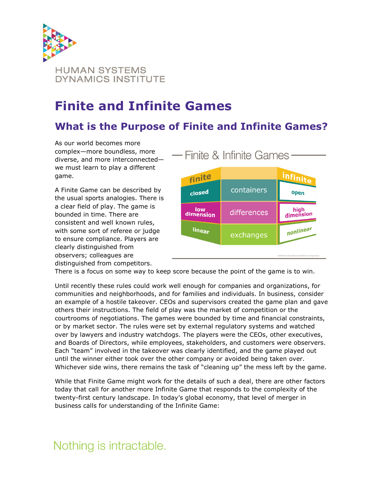

# **Finite and Infinite Games**

## **What is the Purpose of Finite and Infinite Games?**

As our world becomes more complex—more boundless, more diverse, and more interconnected we must learn to play a different game.

A Finite Game can be described by the usual sports analogies. There is a clear field of play. The game is bounded in time. There are consistent and well known rules, with some sort of referee or judge to ensure compliance. Players are clearly distinguished from observers; colleagues are distinguished from competitors.



There is a focus on some way to keep score because the point of the game is to win.

Until recently these rules could work well enough for companies and organizations, for communities and neighborhoods, and for families and individuals. In business, consider an example of a hostile takeover. CEOs and supervisors created the game plan and gave others their instructions. The field of play was the market of competition or the courtrooms of negotiations. The games were bounded by time and financial constraints, or by market sector. The rules were set by external regulatory systems and watched over by lawyers and industry watchdogs. The players were the CEOs, other executives, and Boards of Directors, while employees, stakeholders, and customers were observers. Each "team" involved in the takeover was clearly identified, and the game played out until the winner either took over the other company or avoided being taken over. Whichever side wins, there remains the task of "cleaning up" the mess left by the game.

While that Finite Game might work for the details of such a deal, there are other factors today that call for another more Infinite Game that responds to the complexity of the twenty-first century landscape. In today's global economy, that level of merger in business calls for understanding of the Infinite Game:

# Nothing is intractable.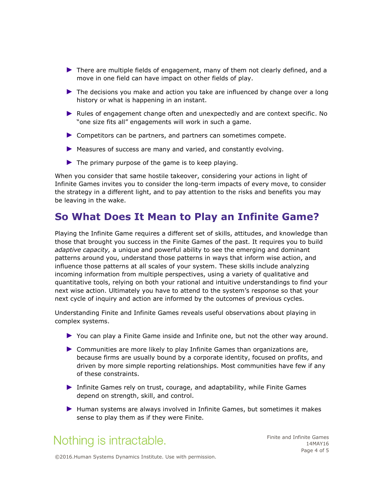- ► There are multiple fields of engagement, many of them not clearly defined, and a move in one field can have impact on other fields of play.
- ► The decisions you make and action you take are influenced by change over a long history or what is happening in an instant.
- ► Rules of engagement change often and unexpectedly and are context specific. No "one size fits all" engagements will work in such a game.
- ► Competitors can be partners, and partners can sometimes compete.
- ► Measures of success are many and varied, and constantly evolving.
- ► The primary purpose of the game is to keep playing.

When you consider that same hostile takeover, considering your actions in light of Infinite Games invites you to consider the long-term impacts of every move, to consider the strategy in a different light, and to pay attention to the risks and benefits you may be leaving in the wake.

#### **So What Does It Mean to Play an Infinite Game?**

Playing the Infinite Game requires a different set of skills, attitudes, and knowledge than those that brought you success in the Finite Games of the past. It requires you to build *adaptive capacity,* a unique and powerful ability to see the emerging and dominant patterns around you, understand those patterns in ways that inform wise action, and influence those patterns at all scales of your system. These skills include analyzing incoming information from multiple perspectives, using a variety of qualitative and quantitative tools, relying on both your rational and intuitive understandings to find your next wise action. Ultimately you have to attend to the system's response so that your next cycle of inquiry and action are informed by the outcomes of previous cycles.

Understanding Finite and Infinite Games reveals useful observations about playing in complex systems.

- ► You can play a Finite Game inside and Infinite one, but not the other way around.
- ► Communities are more likely to play Infinite Games than organizations are, because firms are usually bound by a corporate identity, focused on profits, and driven by more simple reporting relationships. Most communities have few if any of these constraints.
- ▶ Infinite Games rely on trust, courage, and adaptability, while Finite Games depend on strength, skill, and control.
- ► Human systems are always involved in Infinite Games, but sometimes it makes sense to play them as if they were Finite.

# Nothing is intractable.

Finite and Infinite Games 14MAY16 Page 4 of 5